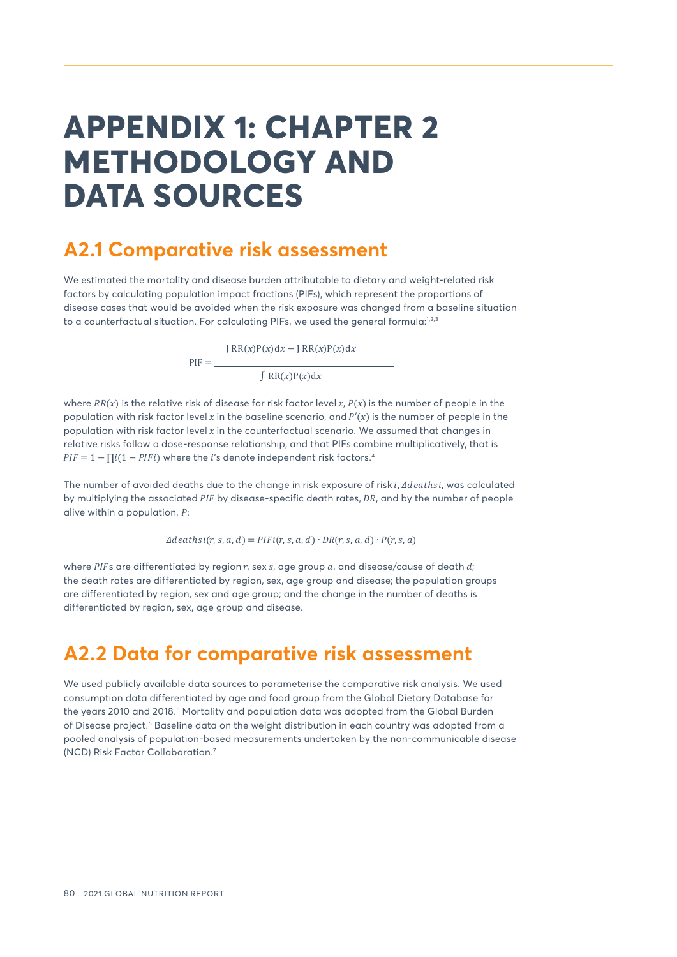# <span id="page-0-0"></span>**APPENDIX 1: CHAPTER 2 METHODOLOGY AND DATA SOURCES**

## **A2.1 Comparative risk assessment**

 $PIF =$ 

We estimated the mortality and disease burden attributable to dietary and weight-related risk factors by calculating population impact fractions (PIFs), which represent the proportions of disease cases that would be avoided when the risk exposure was changed from a baseline situation to a counterfactual situation. For calculating PIFs, we used the general formula:<sup>1,2,3</sup>

 $JRR(x)P(x)dx - JRR(x)P(x)dx$ 

 $J RR(x)P(x)dx$ 

where  $RR(x)$  is the relative risk of disease for risk factor level x,  $P(x)$  is the number of people in the population with risk factor level x in the baseline scenario, and  $P'(x)$  is the number of people in the population with risk factor level  $x$  in the counterfactual scenario. We assumed that changes in relative risks follow a dose-response relationship, and that PIFs combine multiplicatively, that is  $PIF = 1 - \prod i(1 - PIFi)$  where the *i*'s denote independent risk factors.<sup>[4](#page-8-0)</sup>

The number of avoided deaths due to the change in risk exposure of risk i, *Adeathsi*, was calculated by multiplying the associated  $PIF$  by disease-specific death rates,  $DR$ , and by the number of people alive within a population,  $P$ :

 $\Delta deathsi(r, s, a, d) = PIFi(r, s, a, d) \cdot DR(r, s, a, d) \cdot P(r, s, a)$ 

where PIFs are differentiated by region  $r$ , sex  $s$ , age group  $a$ , and disease/cause of death  $d$ ; the death rates are differentiated by region, sex, age group and disease; the population groups are differentiated by region, sex and age group; and the change in the number of deaths is differentiated by region, sex, age group and disease.

## **A2.2 Data for comparative risk assessment**

We used publicly available data sources to parameterise the comparative risk analysis. We used consumption data differentiated by age and food group from the Global Dietary Database for the years 2010 and 2018.<sup>[5](#page-8-0)</sup> Mortality and population data was adopted from the Global Burden of Disease project.<sup>[6](#page-8-0)</sup> Baseline data on the weight distribution in each country was adopted from a pooled analysis of population-based measurements undertaken by the non-communicable disease (NCD) Risk Factor Collaboration.[7](#page-8-0)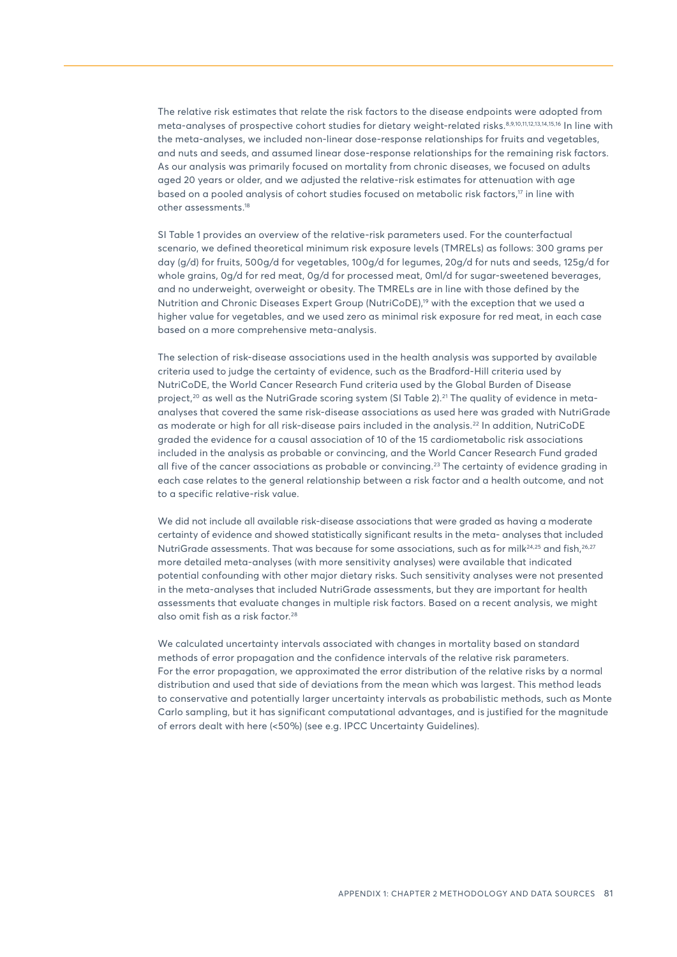<span id="page-1-0"></span>The relative risk estimates that relate the risk factors to the disease endpoints were adopted from meta-analyses of prospective cohort studies for dietary weight-related risks.[8,9,10,11,12,13,14,15,16](#page-8-0) In line with the meta-analyses, we included non-linear dose-response relationships for fruits and vegetables, and nuts and seeds, and assumed linear dose-response relationships for the remaining risk factors. As our analysis was primarily focused on mortality from chronic diseases, we focused on adults aged 20 years or older, and we adjusted the relative-risk estimates for attenuation with age based on a pooled analysis of cohort studies focused on metabolic risk factors,<sup>17</sup> in line with other assessments[.18](#page-8-0)

SI Table 1 provides an overview of the relative-risk parameters used. For the counterfactual scenario, we defined theoretical minimum risk exposure levels (TMRELs) as follows: 300 grams per day (g/d) for fruits, 500g/d for vegetables, 100g/d for legumes, 20g/d for nuts and seeds, 125g/d for whole grains, 0g/d for red meat, 0g/d for processed meat, 0ml/d for sugar-sweetened beverages, and no underweight, overweight or obesity. The TMRELs are in line with those defined by the Nutrition and Chronic Diseases Expert Group (NutriCoDE),<sup>19</sup> with the exception that we used a higher value for vegetables, and we used zero as minimal risk exposure for red meat, in each case based on a more comprehensive meta-analysis.

The selection of risk-disease associations used in the health analysis was supported by available criteria used to judge the certainty of evidence, such as the Bradford-Hill criteria used by NutriCoDE, the World Cancer Research Fund criteria used by the Global Burden of Disease project,<sup>[20](#page-9-0)</sup> as well as the NutriGrade scoring system (SI Table 2).<sup>21</sup> The quality of evidence in metaanalyses that covered the same risk-disease associations as used here was graded with NutriGrade as moderate or high for all risk-disease pairs included in the analysis.[22](#page-9-0) In addition, NutriCoDE graded the evidence for a causal association of 10 of the 15 cardiometabolic risk associations included in the analysis as probable or convincing, and the World Cancer Research Fund graded all five of the cancer associations as probable or convincing.[23](#page-9-0) The certainty of evidence grading in each case relates to the general relationship between a risk factor and a health outcome, and not to a specific relative-risk value.

We did not include all available risk-disease associations that were graded as having a moderate certainty of evidence and showed statistically significant results in the meta- analyses that included NutriGrade assessments. That was because for some associations, such as for milk $^{24,25}$  and fish, $^{26,27}$  $^{26,27}$  $^{26,27}$ more detailed meta-analyses (with more sensitivity analyses) were available that indicated potential confounding with other major dietary risks. Such sensitivity analyses were not presented in the meta-analyses that included NutriGrade assessments, but they are important for health assessments that evaluate changes in multiple risk factors. Based on a recent analysis, we might also omit fish as a risk factor.<sup>[28](#page-9-0)</sup>

We calculated uncertainty intervals associated with changes in mortality based on standard methods of error propagation and the confidence intervals of the relative risk parameters. For the error propagation, we approximated the error distribution of the relative risks by a normal distribution and used that side of deviations from the mean which was largest. This method leads to conservative and potentially larger uncertainty intervals as probabilistic methods, such as Monte Carlo sampling, but it has significant computational advantages, and is justified for the magnitude of errors dealt with here (<50%) (see e.g. IPCC Uncertainty Guidelines).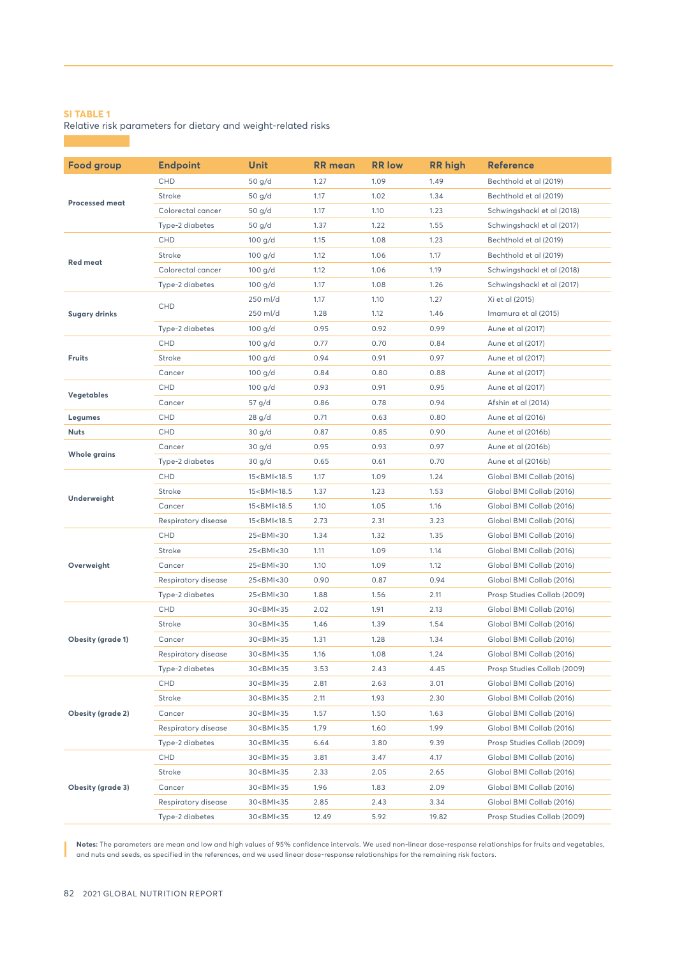Relative risk parameters for dietary and weight-related risks

| <b>Food group</b>                                    | <b>Endpoint</b>     | <b>Unit</b>                                                                                               | RR mean | <b>RR</b> low | <b>RR</b> high | <b>Reference</b>            |
|------------------------------------------------------|---------------------|-----------------------------------------------------------------------------------------------------------|---------|---------------|----------------|-----------------------------|
| <b>Processed meat</b>                                | <b>CHD</b>          | 50 g/d                                                                                                    | 1.27    | 1.09          | 1.49           | Bechthold et al (2019)      |
|                                                      | Stroke              | 50 g/d                                                                                                    | 1.17    | 1.02          | 1.34           | Bechthold et al (2019)      |
|                                                      | Colorectal cancer   | 50 g/d                                                                                                    | 1.17    | 1.10          | 1.23           | Schwingshackl et al (2018)  |
|                                                      | Type-2 diabetes     | 50 g/d                                                                                                    | 1.37    | 1.22          | 1.55           | Schwingshackl et al (2017)  |
|                                                      | <b>CHD</b>          | $100$ g/d                                                                                                 | 1.15    | 1.08          | 1.23           | Bechthold et al (2019)      |
| <b>Red meat</b>                                      | Stroke              | $100$ g/d                                                                                                 | 1.12    | 1.06          | 1.17           | Bechthold et al (2019)      |
|                                                      | Colorectal cancer   | $100$ g/d                                                                                                 | 1.12    | 1.06          | 1.19           | Schwingshackl et al (2018)  |
|                                                      | Type-2 diabetes     | 100 g/d                                                                                                   | 1.17    | 1.08          | 1.26           | Schwingshackl et al (2017)  |
| <b>Sugary drinks</b>                                 | <b>CHD</b>          | 250 ml/d                                                                                                  | 1.17    | 1.10          | 1.27           | Xi et al (2015)             |
|                                                      |                     | 250 ml/d                                                                                                  | 1.28    | 1.12          | 1.46           | Imamura et al (2015)        |
|                                                      | Type-2 diabetes     | 100 g/d                                                                                                   | 0.95    | 0.92          | 0.99           | Aune et al (2017)           |
|                                                      | <b>CHD</b>          | $100$ g/d                                                                                                 | 0.77    | 0.70          | 0.84           | Aune et al (2017)           |
| <b>Fruits</b>                                        | Stroke              | $100$ g/d                                                                                                 | 0.94    | 0.91          | 0.97           | Aune et al (2017)           |
|                                                      | Cancer              | 100 g/d                                                                                                   | 0.84    | 0.80          | 0.88           | Aune et al (2017)           |
| <b>Vegetables</b>                                    | CHD                 | 100 g/d                                                                                                   | 0.93    | 0.91          | 0.95           | Aune et al (2017)           |
|                                                      | Cancer              | 57 g/d                                                                                                    | 0.86    | 0.78          | 0.94           | Afshin et al (2014)         |
| Legumes                                              | <b>CHD</b>          | 28 g/d                                                                                                    | 0.71    | 0.63          | 0.80           | Aune et al (2016)           |
| Nuts                                                 | <b>CHD</b>          | 30 g/d                                                                                                    | 0.87    | 0.85          | 0.90           | Aune et al (2016b)          |
| <b>Whole grains</b>                                  | Cancer              | 30 g/d                                                                                                    | 0.95    | 0.93          | 0.97           | Aune et al (2016b)          |
|                                                      | Type-2 diabetes     | 30 g/d                                                                                                    | 0.65    | 0.61          | 0.70           | Aune et al (2016b)          |
| Underweight                                          | <b>CHD</b>          | 15 <bmi<18.5< td=""><td>1.17</td><td>1.09</td><td>1.24</td><td>Global BMI Collab (2016)</td></bmi<18.5<>  | 1.17    | 1.09          | 1.24           | Global BMI Collab (2016)    |
|                                                      | Stroke              | 15 <bmi<18.5< td=""><td>1.37</td><td>1.23</td><td>1.53</td><td>Global BMI Collab (2016)</td></bmi<18.5<>  | 1.37    | 1.23          | 1.53           | Global BMI Collab (2016)    |
|                                                      | Cancer              | 15 <bmi<18.5< td=""><td>1.10</td><td>1.05</td><td>1.16</td><td>Global BMI Collab (2016)</td></bmi<18.5<>  | 1.10    | 1.05          | 1.16           | Global BMI Collab (2016)    |
|                                                      | Respiratory disease | 15 <bmi<18.5< td=""><td>2.73</td><td>2.31</td><td>3.23</td><td>Global BMI Collab (2016)</td></bmi<18.5<>  | 2.73    | 2.31          | 3.23           | Global BMI Collab (2016)    |
|                                                      | <b>CHD</b>          | 25 <bmi<30< td=""><td>1.34</td><td>1.32</td><td>1.35</td><td>Global BMI Collab (2016)</td></bmi<30<>      | 1.34    | 1.32          | 1.35           | Global BMI Collab (2016)    |
|                                                      | Stroke              | 25 <bmi<30< td=""><td>1.11</td><td>1.09</td><td>1.14</td><td>Global BMI Collab (2016)</td></bmi<30<>      | 1.11    | 1.09          | 1.14           | Global BMI Collab (2016)    |
| Overweight                                           | Cancer              | 25 <bmi<30< td=""><td>1.10</td><td>1.09</td><td>1.12</td><td>Global BMI Collab (2016)</td></bmi<30<>      | 1.10    | 1.09          | 1.12           | Global BMI Collab (2016)    |
|                                                      | Respiratory disease | 25 <bmi<30< td=""><td>0.90</td><td>0.87</td><td>0.94</td><td>Global BMI Collab (2016)</td></bmi<30<>      | 0.90    | 0.87          | 0.94           | Global BMI Collab (2016)    |
|                                                      | Type-2 diabetes     | 25 <bmi<30< td=""><td>1.88</td><td>1.56</td><td>2.11</td><td>Prosp Studies Collab (2009)</td></bmi<30<>   | 1.88    | 1.56          | 2.11           | Prosp Studies Collab (2009) |
|                                                      | <b>CHD</b>          | 30 <bmi<35< td=""><td>2.02</td><td>1.91</td><td>2.13</td><td>Global BMI Collab (2016)</td></bmi<35<>      | 2.02    | 1.91          | 2.13           | Global BMI Collab (2016)    |
|                                                      | Stroke              | 30 <bmi<35< td=""><td>1.46</td><td>1.39</td><td>1.54</td><td>Global BMI Collab (2016)</td></bmi<35<>      | 1.46    | 1.39          | 1.54           | Global BMI Collab (2016)    |
| <b>Obesity (grade 1)</b>                             | Cancer              | 30 <bmi<35< td=""><td>1.31</td><td>1.28</td><td>1.34</td><td>Global BMI Collab (2016)</td></bmi<35<>      | 1.31    | 1.28          | 1.34           | Global BMI Collab (2016)    |
|                                                      | Respiratory disease | 30 <bmi<35< td=""><td>1.16</td><td>1.08</td><td>1.24</td><td>Global BMI Collab (2016)</td></bmi<35<>      | 1.16    | 1.08          | 1.24           | Global BMI Collab (2016)    |
|                                                      | Type-2 diabetes     | 30 <bmi<35< td=""><td>3.53</td><td>2.43</td><td>4.45</td><td>Prosp Studies Collab (2009)</td></bmi<35<>   | 3.53    | 2.43          | 4.45           | Prosp Studies Collab (2009) |
| <b>Obesity (grade 2)</b><br><b>Obesity (grade 3)</b> | <b>CHD</b>          | 30 <bmi<35< td=""><td>2.81</td><td>2.63</td><td>3.01</td><td>Global BMI Collab (2016)</td></bmi<35<>      | 2.81    | 2.63          | 3.01           | Global BMI Collab (2016)    |
|                                                      | Stroke              | 30 <bmi<35< td=""><td>2.11</td><td>1.93</td><td>2.30</td><td>Global BMI Collab (2016)</td></bmi<35<>      | 2.11    | 1.93          | 2.30           | Global BMI Collab (2016)    |
|                                                      | Cancer              | 30 <bmi<35< td=""><td>1.57</td><td>1.50</td><td>1.63</td><td>Global BMI Collab (2016)</td></bmi<35<>      | 1.57    | 1.50          | 1.63           | Global BMI Collab (2016)    |
|                                                      | Respiratory disease | 30 <bmi<35< td=""><td>1.79</td><td>1.60</td><td>1.99</td><td>Global BMI Collab (2016)</td></bmi<35<>      | 1.79    | 1.60          | 1.99           | Global BMI Collab (2016)    |
|                                                      | Type-2 diabetes     | 30 <bmi<35< td=""><td>6.64</td><td>3.80</td><td>9.39</td><td>Prosp Studies Collab (2009)</td></bmi<35<>   | 6.64    | 3.80          | 9.39           | Prosp Studies Collab (2009) |
|                                                      | <b>CHD</b>          | 30 <bmi<35< td=""><td>3.81</td><td>3.47</td><td>4.17</td><td>Global BMI Collab (2016)</td></bmi<35<>      | 3.81    | 3.47          | 4.17           | Global BMI Collab (2016)    |
|                                                      | Stroke              | 30 <bmi<35< td=""><td>2.33</td><td>2.05</td><td>2.65</td><td>Global BMI Collab (2016)</td></bmi<35<>      | 2.33    | 2.05          | 2.65           | Global BMI Collab (2016)    |
|                                                      | Cancer              | 30 <bmi<35< td=""><td>1.96</td><td>1.83</td><td>2.09</td><td>Global BMI Collab (2016)</td></bmi<35<>      | 1.96    | 1.83          | 2.09           | Global BMI Collab (2016)    |
|                                                      | Respiratory disease | 30 <bmi<35< td=""><td>2.85</td><td>2.43</td><td>3.34</td><td>Global BMI Collab (2016)</td></bmi<35<>      | 2.85    | 2.43          | 3.34           | Global BMI Collab (2016)    |
|                                                      | Type-2 diabetes     | 30 <bmi<35< td=""><td>12.49</td><td>5.92</td><td>19.82</td><td>Prosp Studies Collab (2009)</td></bmi<35<> | 12.49   | 5.92          | 19.82          | Prosp Studies Collab (2009) |

**Notes:** The parameters are mean and low and high values of 95% confidence intervals. We used non-linear dose-response relationships for fruits and vegetables, and nuts and seeds, as specified in the references, and we used linear dose-response relationships for the remaining risk factors.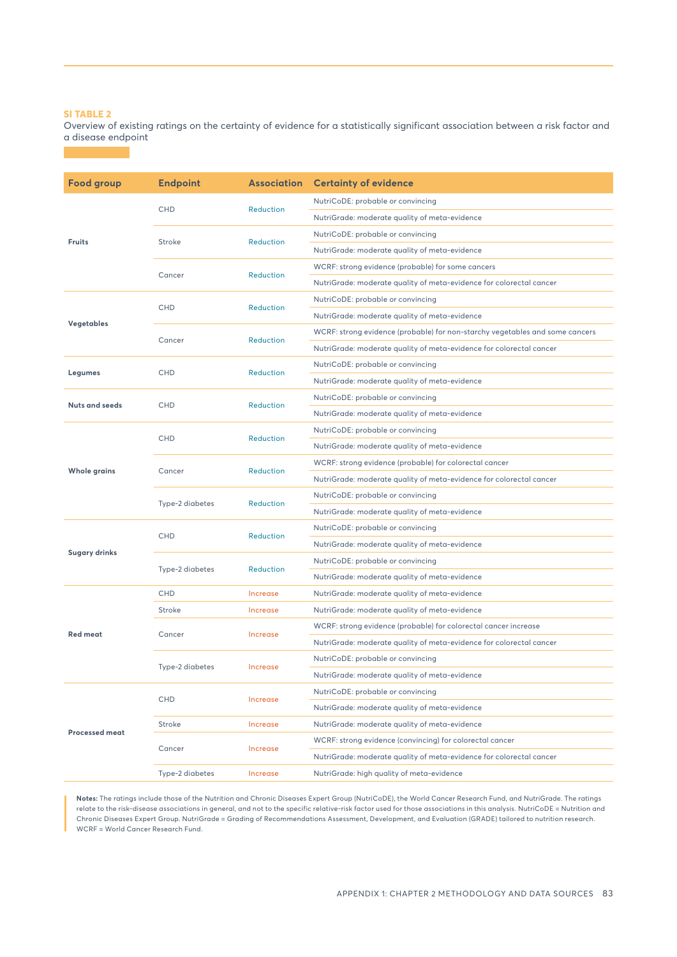Overview of existing ratings on the certainty of evidence for a statistically significant association between a risk factor and a disease endpoint

**Food group Endpoint Association Certainty of evidence Fruits** CHD **Reduction** NutriCoDE: probable or convincing NutriGrade: moderate quality of meta-evidence Stroke Reduction NutriCoDE: probable or convincing NutriGrade: moderate quality of meta-evidence Cancer Reduction WCRF: strong evidence (probable) for some cancers NutriGrade: moderate quality of meta-evidence for colorectal cancer **Vegetables** CHD Reduction NutriCoDE: probable or convincing NutriGrade: moderate quality of meta-evidence Cancer Reduction WCRF: strong evidence (probable) for non-starchy vegetables and some cancers NutriGrade: moderate quality of meta-evidence for colorectal cancer **Legumes** CHD Reduction NutriCoDE: probable or convincing NutriGrade: moderate quality of meta-evidence **Nuts and seeds** CHD Reduction NutriCoDE: probable or convincing NutriGrade: moderate quality of meta-evidence **Whole grains** CHD Reduction NutriCoDE: probable or convincing NutriGrade: moderate quality of meta-evidence Cancer Reduction WCRF: strong evidence (probable) for colorectal cancer NutriGrade: moderate quality of meta-evidence for colorectal cancer Type-2 diabetes Reduction NutriCoDE: probable or convincing NutriGrade: moderate quality of meta-evidence **Sugary drinks** CHD Reduction NutriCoDE: probable or convincing NutriGrade: moderate quality of meta-evidence Type-2 diabetes Reduction NutriCoDE: probable or convincing NutriGrade: moderate quality of meta-evidence **Red meat** CHD **Increase** NutriGrade: moderate quality of meta-evidence Stroke **Increase** NutriGrade: moderate quality of meta-evidence Cancer Increase WCRF: strong evidence (probable) for colorectal cancer increase NutriGrade: moderate quality of meta-evidence for colorectal cancer Type-2 diabetes Increase NutriCoDE: probable or convincing NutriGrade: moderate quality of meta-evidence **Processed meat** CHD Increase NutriCoDE: probable or convincing NutriGrade: moderate quality of meta-evidence Stroke **Increase** NutriGrade: moderate quality of meta-evidence Cancer **Increase** WCRF: strong evidence (convincing) for colorectal cancer NutriGrade: moderate quality of meta-evidence for colorectal cancer Type-2 diabetes Increase NutriGrade: high quality of meta-evidence

**Notes:** The ratings include those of the Nutrition and Chronic Diseases Expert Group (NutriCoDE), the World Cancer Research Fund, and NutriGrade. The ratings relate to the risk-disease associations in general, and not to the specific relative-risk factor used for those associations in this analysis. NutriCoDE = Nutrition and Chronic Diseases Expert Group. NutriGrade = Grading of Recommendations Assessment, Development, and Evaluation (GRADE) tailored to nutrition research. WCRF = World Cancer Research Fund.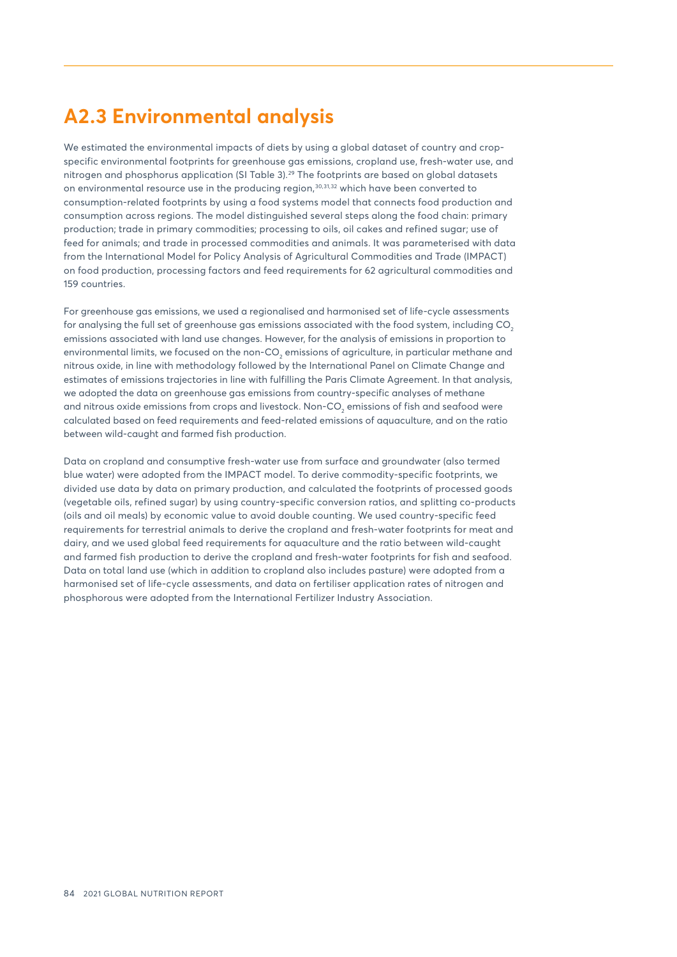## <span id="page-4-0"></span>**A2.3 Environmental analysis**

We estimated the environmental impacts of diets by using a global dataset of country and cropspecific environmental footprints for greenhouse gas emissions, cropland use, fresh-water use, and nitrogen and phosphorus application (SI Table 3).[29](#page-9-0) The footprints are based on global datasets on environmental resource use in the producing region, $30,31,32$  which have been converted to consumption-related footprints by using a food systems model that connects food production and consumption across regions. The model distinguished several steps along the food chain: primary production; trade in primary commodities; processing to oils, oil cakes and refined sugar; use of feed for animals; and trade in processed commodities and animals. It was parameterised with data from the International Model for Policy Analysis of Agricultural Commodities and Trade (IMPACT) on food production, processing factors and feed requirements for 62 agricultural commodities and 159 countries.

For greenhouse gas emissions, we used a regionalised and harmonised set of life-cycle assessments for analysing the full set of greenhouse gas emissions associated with the food system, including CO<sub>2</sub> emissions associated with land use changes. However, for the analysis of emissions in proportion to environmental limits, we focused on the non-CO $_2$  emissions of agriculture, in particular methane and nitrous oxide, in line with methodology followed by the International Panel on Climate Change and estimates of emissions trajectories in line with fulfilling the Paris Climate Agreement. In that analysis, we adopted the data on greenhouse gas emissions from country-specific analyses of methane and nitrous oxide emissions from crops and livestock. Non-CO $_{\textrm{\tiny{2}}}$  emissions of fish and seafood were calculated based on feed requirements and feed-related emissions of aquaculture, and on the ratio between wild-caught and farmed fish production.

Data on cropland and consumptive fresh-water use from surface and groundwater (also termed blue water) were adopted from the IMPACT model. To derive commodity-specific footprints, we divided use data by data on primary production, and calculated the footprints of processed goods (vegetable oils, refined sugar) by using country-specific conversion ratios, and splitting co-products (oils and oil meals) by economic value to avoid double counting. We used country-specific feed requirements for terrestrial animals to derive the cropland and fresh-water footprints for meat and dairy, and we used global feed requirements for aquaculture and the ratio between wild-caught and farmed fish production to derive the cropland and fresh-water footprints for fish and seafood. Data on total land use (which in addition to cropland also includes pasture) were adopted from a harmonised set of life-cycle assessments, and data on fertiliser application rates of nitrogen and phosphorous were adopted from the International Fertilizer Industry Association.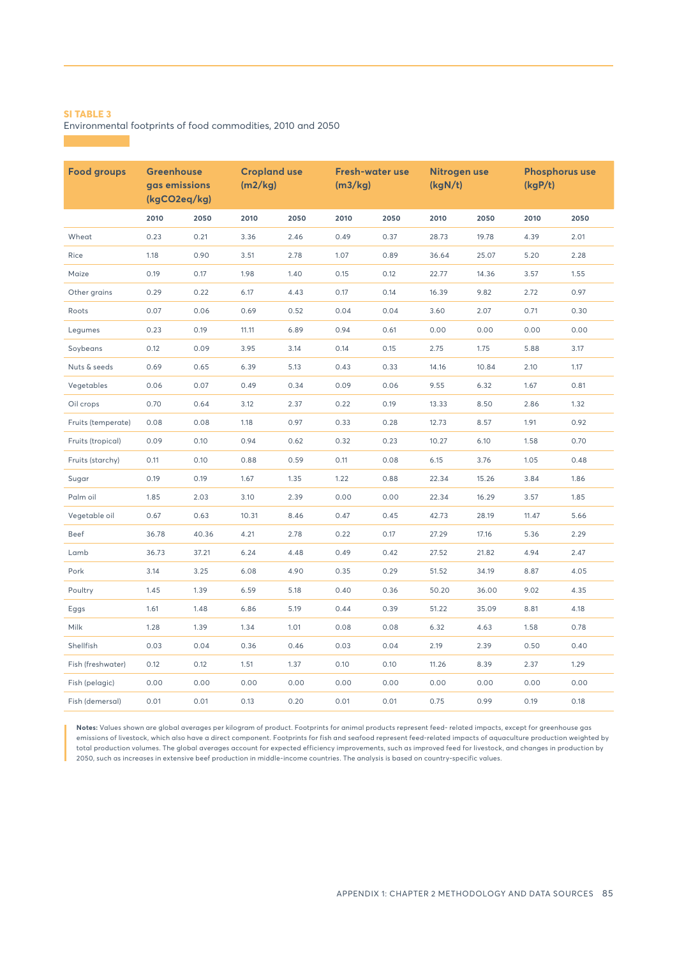Environmental footprints of food commodities, 2010 and 2050

| <b>Food groups</b> | <b>Greenhouse</b><br>gas emissions<br>(kgCO2eq/kg) |       | <b>Cropland use</b><br>(m2/kg) |      | <b>Fresh-water use</b><br>(m3/kg) |      | Nitrogen use<br>(kgN/t) |       | <b>Phosphorus use</b><br>(kgP/t) |      |
|--------------------|----------------------------------------------------|-------|--------------------------------|------|-----------------------------------|------|-------------------------|-------|----------------------------------|------|
|                    | 2010                                               | 2050  | 2010                           | 2050 | 2010                              | 2050 | 2010                    | 2050  | 2010                             | 2050 |
| Wheat              | 0.23                                               | 0.21  | 3.36                           | 2.46 | 0.49                              | 0.37 | 28.73                   | 19.78 | 4.39                             | 2.01 |
| Rice               | 1.18                                               | 0.90  | 3.51                           | 2.78 | 1.07                              | 0.89 | 36.64                   | 25.07 | 5.20                             | 2.28 |
| Maize              | 0.19                                               | 0.17  | 1.98                           | 1.40 | 0.15                              | 0.12 | 22.77                   | 14.36 | 3.57                             | 1.55 |
| Other grains       | 0.29                                               | 0.22  | 6.17                           | 4.43 | 0.17                              | 0.14 | 16.39                   | 9.82  | 2.72                             | 0.97 |
| Roots              | 0.07                                               | 0.06  | 0.69                           | 0.52 | 0.04                              | 0.04 | 3.60                    | 2.07  | 0.71                             | 0.30 |
| Legumes            | 0.23                                               | 0.19  | 11.11                          | 6.89 | 0.94                              | 0.61 | 0.00                    | 0.00  | 0.00                             | 0.00 |
| Soybeans           | 0.12                                               | 0.09  | 3.95                           | 3.14 | 0.14                              | 0.15 | 2.75                    | 1.75  | 5.88                             | 3.17 |
| Nuts & seeds       | 0.69                                               | 0.65  | 6.39                           | 5.13 | 0.43                              | 0.33 | 14.16                   | 10.84 | 2.10                             | 1.17 |
| Vegetables         | 0.06                                               | 0.07  | 0.49                           | 0.34 | 0.09                              | 0.06 | 9.55                    | 6.32  | 1.67                             | 0.81 |
| Oil crops          | 0.70                                               | 0.64  | 3.12                           | 2.37 | 0.22                              | 0.19 | 13.33                   | 8.50  | 2.86                             | 1.32 |
| Fruits (temperate) | 0.08                                               | 0.08  | 1.18                           | 0.97 | 0.33                              | 0.28 | 12.73                   | 8.57  | 1.91                             | 0.92 |
| Fruits (tropical)  | 0.09                                               | 0.10  | 0.94                           | 0.62 | 0.32                              | 0.23 | 10.27                   | 6.10  | 1.58                             | 0.70 |
| Fruits (starchy)   | 0.11                                               | 0.10  | 0.88                           | 0.59 | 0.11                              | 0.08 | 6.15                    | 3.76  | 1.05                             | 0.48 |
| Sugar              | 0.19                                               | 0.19  | 1.67                           | 1.35 | 1.22                              | 0.88 | 22.34                   | 15.26 | 3.84                             | 1.86 |
| Palm oil           | 1.85                                               | 2.03  | 3.10                           | 2.39 | 0.00                              | 0.00 | 22.34                   | 16.29 | 3.57                             | 1.85 |
| Vegetable oil      | 0.67                                               | 0.63  | 10.31                          | 8.46 | 0.47                              | 0.45 | 42.73                   | 28.19 | 11.47                            | 5.66 |
| Beef               | 36.78                                              | 40.36 | 4.21                           | 2.78 | 0.22                              | 0.17 | 27.29                   | 17.16 | 5.36                             | 2.29 |
| Lamb               | 36.73                                              | 37.21 | 6.24                           | 4.48 | 0.49                              | 0.42 | 27.52                   | 21.82 | 4.94                             | 2.47 |
| Pork               | 3.14                                               | 3.25  | 6.08                           | 4.90 | 0.35                              | 0.29 | 51.52                   | 34.19 | 8.87                             | 4.05 |
| Poultry            | 1.45                                               | 1.39  | 6.59                           | 5.18 | 0.40                              | 0.36 | 50.20                   | 36.00 | 9.02                             | 4.35 |
| Eggs               | 1.61                                               | 1.48  | 6.86                           | 5.19 | 0.44                              | 0.39 | 51.22                   | 35.09 | 8.81                             | 4.18 |
| Milk               | 1.28                                               | 1.39  | 1.34                           | 1.01 | 0.08                              | 0.08 | 6.32                    | 4.63  | 1.58                             | 0.78 |
| Shellfish          | 0.03                                               | 0.04  | 0.36                           | 0.46 | 0.03                              | 0.04 | 2.19                    | 2.39  | 0.50                             | 0.40 |
| Fish (freshwater)  | 0.12                                               | 0.12  | 1.51                           | 1.37 | 0.10                              | 0.10 | 11.26                   | 8.39  | 2.37                             | 1.29 |
| Fish (pelagic)     | 0.00                                               | 0.00  | 0.00                           | 0.00 | 0.00                              | 0.00 | 0.00                    | 0.00  | 0.00                             | 0.00 |
| Fish (demersal)    | 0.01                                               | 0.01  | 0.13                           | 0.20 | 0.01                              | 0.01 | 0.75                    | 0.99  | 0.19                             | 0.18 |

**Notes:** Values shown are global averages per kilogram of product. Footprints for animal products represent feed- related impacts, except for greenhouse gas emissions of livestock, which also have a direct component. Footprints for fish and seafood represent feed-related impacts of aquaculture production weighted by total production volumes. The global averages account for expected efficiency improvements, such as improved feed for livestock, and changes in production by 2050, such as increases in extensive beef production in middle-income countries. The analysis is based on country-specific values.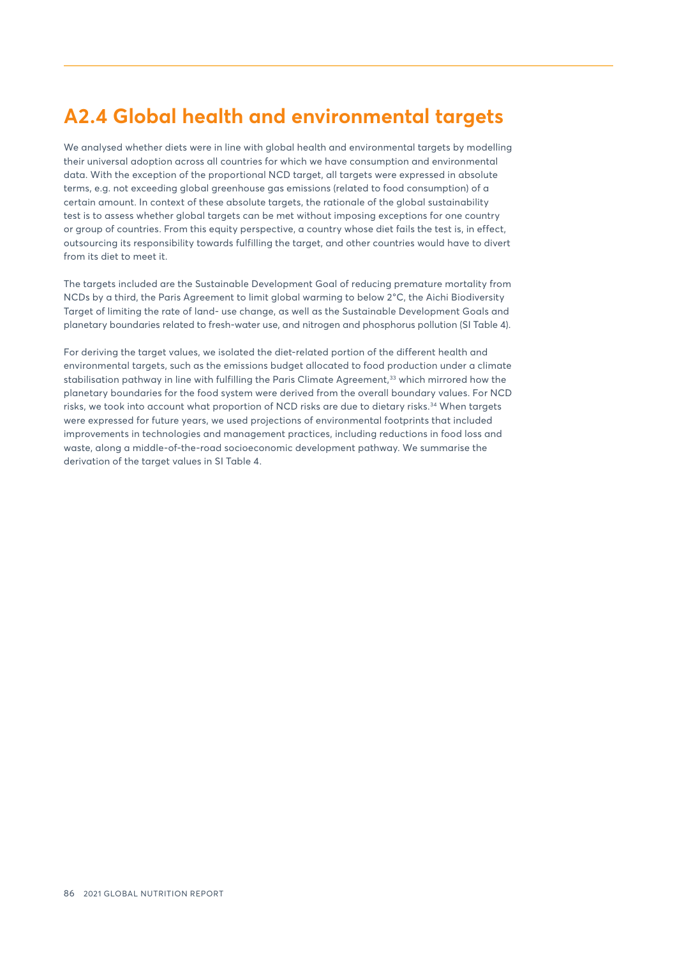# <span id="page-6-0"></span>**A2.4 Global health and environmental targets**

We analysed whether diets were in line with global health and environmental targets by modelling their universal adoption across all countries for which we have consumption and environmental data. With the exception of the proportional NCD target, all targets were expressed in absolute terms, e.g. not exceeding global greenhouse gas emissions (related to food consumption) of a certain amount. In context of these absolute targets, the rationale of the global sustainability test is to assess whether global targets can be met without imposing exceptions for one country or group of countries. From this equity perspective, a country whose diet fails the test is, in effect, outsourcing its responsibility towards fulfilling the target, and other countries would have to divert from its diet to meet it.

The targets included are the Sustainable Development Goal of reducing premature mortality from NCDs by a third, the Paris Agreement to limit global warming to below 2°C, the Aichi Biodiversity Target of limiting the rate of land- use change, as well as the Sustainable Development Goals and planetary boundaries related to fresh-water use, and nitrogen and phosphorus pollution (SI Table 4).

For deriving the target values, we isolated the diet-related portion of the different health and environmental targets, such as the emissions budget allocated to food production under a climate stabilisation pathway in line with fulfilling the Paris Climate Agreement,<sup>[33](#page-9-0)</sup> which mirrored how the planetary boundaries for the food system were derived from the overall boundary values. For NCD risks, we took into account what proportion of NCD risks are due to dietary risks.<sup>[34](#page-9-0)</sup> When targets were expressed for future years, we used projections of environmental footprints that included improvements in technologies and management practices, including reductions in food loss and waste, along a middle-of-the-road socioeconomic development pathway. We summarise the derivation of the target values in SI Table 4.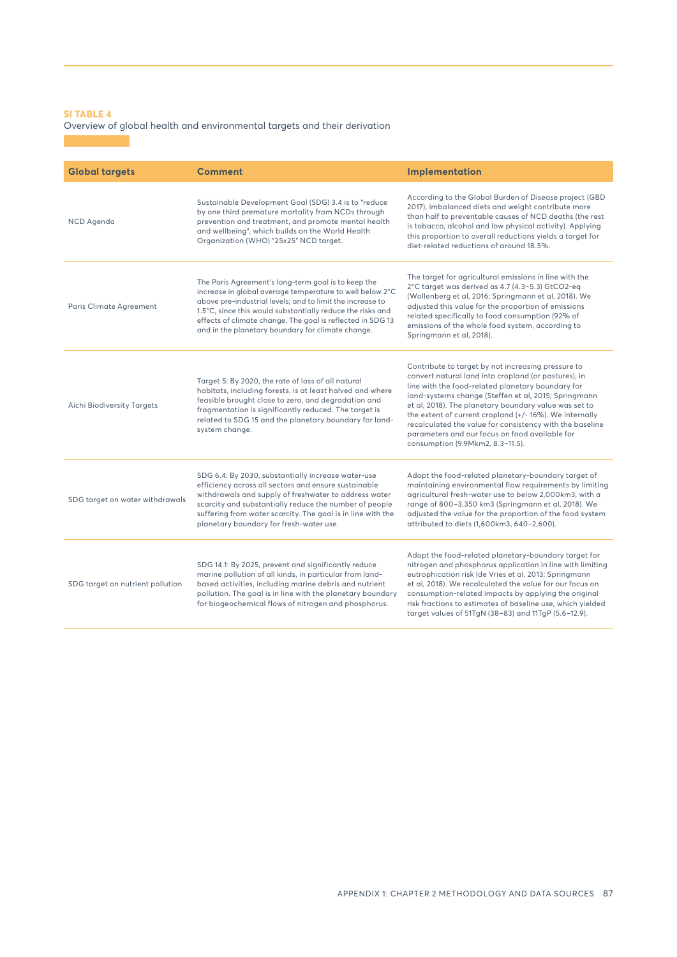### Overview of global health and environmental targets and their derivation

| <b>Global targets</b>            | <b>Comment</b>                                                                                                                                                                                                                                                                                                                                                | Implementation                                                                                                                                                                                                                                                                                                                                                                                                                                                                               |
|----------------------------------|---------------------------------------------------------------------------------------------------------------------------------------------------------------------------------------------------------------------------------------------------------------------------------------------------------------------------------------------------------------|----------------------------------------------------------------------------------------------------------------------------------------------------------------------------------------------------------------------------------------------------------------------------------------------------------------------------------------------------------------------------------------------------------------------------------------------------------------------------------------------|
| <b>NCD</b> Agenda                | Sustainable Development Goal (SDG) 3.4 is to "reduce<br>by one third premature mortality from NCDs through<br>prevention and treatment, and promote mental health<br>and wellbeing", which builds on the World Health<br>Organization (WHO) "25x25" NCD target.                                                                                               | According to the Global Burden of Disease project (GBD<br>2017), imbalanced diets and weight contribute more<br>than half to preventable causes of NCD deaths (the rest<br>is tobacco, alcohol and low physical activity). Applying<br>this proportion to overall reductions yields a target for<br>diet-related reductions of around 18.5%.                                                                                                                                                 |
| Paris Climate Agreement          | The Paris Agreement's long-term goal is to keep the<br>increase in global average temperature to well below 2°C<br>above pre-industrial levels; and to limit the increase to<br>1.5°C, since this would substantially reduce the risks and<br>effects of climate change. The goal is reflected in SDG 13<br>and in the planetary boundary for climate change. | The target for agricultural emissions in line with the<br>2°C target was derived as 4.7 (4.3-5.3) GtCO2-eq<br>(Wollenberg et al, 2016; Springmann et al, 2018). We<br>adjusted this value for the proportion of emissions<br>related specifically to food consumption (92% of<br>emissions of the whole food system, according to<br>Springmann et al, 2018).                                                                                                                                |
| Aichi Biodiversity Targets       | Target 5: By 2020, the rate of loss of all natural<br>habitats, including forests, is at least halved and where<br>feasible brought close to zero, and degradation and<br>fragmentation is significantly reduced. The target is<br>related to SDG 15 and the planetary boundary for land-<br>system change.                                                   | Contribute to target by not increasing pressure to<br>convert natural land into cropland (or pastures), in<br>line with the food-related planetary boundary for<br>land-systems change (Steffen et al, 2015; Springmann<br>et al, 2018). The planetary boundary value was set to<br>the extent of current cropland (+/-16%). We internally<br>recalculated the value for consistency with the baseline<br>parameters and our focus on food available for<br>consumption (9.9Mkm2, 8.3-11.5). |
| SDG target on water withdrawals  | SDG 6.4: By 2030, substantially increase water-use<br>efficiency across all sectors and ensure sustainable<br>withdrawals and supply of freshwater to address water<br>scarcity and substantially reduce the number of people<br>suffering from water scarcity. The goal is in line with the<br>planetary boundary for fresh-water use.                       | Adopt the food-related planetary-boundary target of<br>maintaining environmental flow requirements by limiting<br>agricultural fresh-water use to below 2,000km3, with a<br>range of 800-3,350 km3 (Springmann et al, 2018). We<br>adjusted the value for the proportion of the food system<br>attributed to diets (1,600km3, 640-2,600).                                                                                                                                                    |
| SDG target on nutrient pollution | SDG 14.1: By 2025, prevent and significantly reduce<br>marine pollution of all kinds, in particular from land-<br>based activities, including marine debris and nutrient<br>pollution. The goal is in line with the planetary boundary<br>for biogeochemical flows of nitrogen and phosphorus.                                                                | Adopt the food-related planetary-boundary target for<br>nitrogen and phosphorus application in line with limiting<br>eutrophication risk (de Vries et al, 2013; Springmann<br>et al, 2018). We recalculated the value for our focus on<br>consumption-related impacts by applying the original<br>risk fractions to estimates of baseline use, which yielded<br>target values of 51TgN (38-83) and 11TgP (5.6-12.9).                                                                         |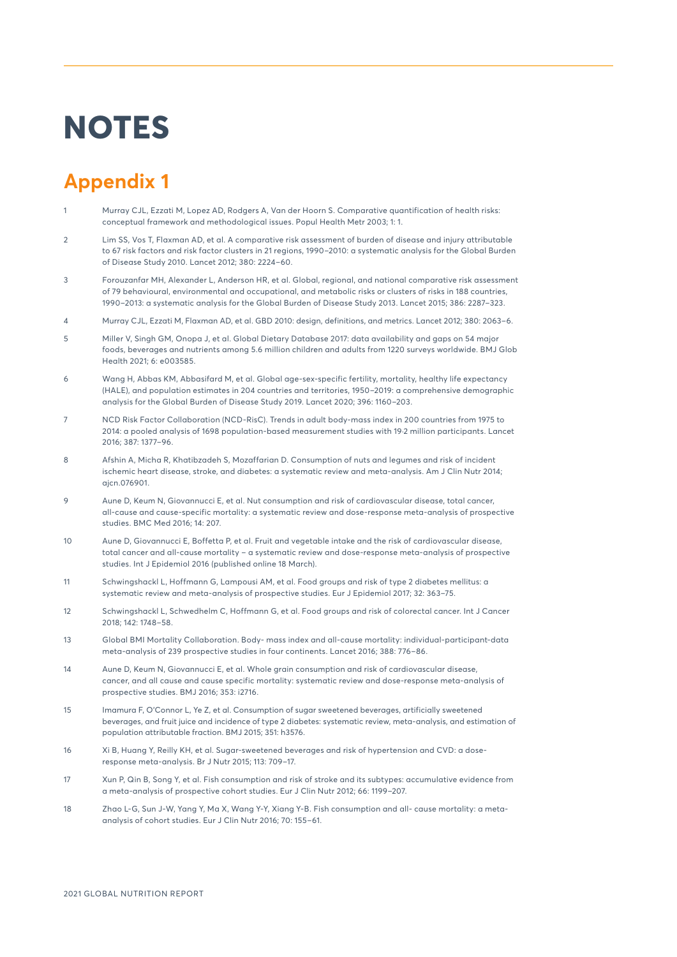# <span id="page-8-0"></span>**NOTES**

# **Appendix 1**

- [1](#page-0-0) Murray CJL, Ezzati M, Lopez AD, Rodgers A, Van der Hoorn S. Comparative quantification of health risks: conceptual framework and methodological issues. Popul Health Metr 2003; 1: 1.
- [2](#page-0-0) Lim SS, Vos T, Flaxman AD, et al. A comparative risk assessment of burden of disease and injury attributable to 67 risk factors and risk factor clusters in 21 regions, 1990–2010: a systematic analysis for the Global Burden of Disease Study 2010. Lancet 2012; 380: 2224–60.
- [3](#page-0-0) Forouzanfar MH, Alexander L, Anderson HR, et al. Global, regional, and national comparative risk assessment of 79 behavioural, environmental and occupational, and metabolic risks or clusters of risks in 188 countries, 1990–2013: a systematic analysis for the Global Burden of Disease Study 2013. Lancet 2015; 386: 2287–323.
- [4](#page-0-0) Murray CJL, Ezzati M, Flaxman AD, et al. GBD 2010: design, definitions, and metrics. Lancet 2012; 380: 2063–6.
- [5](#page-0-0) Miller V, Singh GM, Onopa J, et al. Global Dietary Database 2017: data availability and gaps on 54 major foods, beverages and nutrients among 5.6 million children and adults from 1220 surveys worldwide. BMJ Glob Health 2021; 6: e003585.
- [6](#page-0-0) Wang H, Abbas KM, Abbasifard M, et al. Global age-sex-specific fertility, mortality, healthy life expectancy (HALE), and population estimates in 204 countries and territories, 1950–2019: a comprehensive demographic analysis for the Global Burden of Disease Study 2019. Lancet 2020; 396: 1160–203.
- [7](#page-0-0) NCD Risk Factor Collaboration (NCD-RisC). Trends in adult body-mass index in 200 countries from 1975 to 2014: a pooled analysis of 1698 population-based measurement studies with 19·2 million participants. Lancet 2016; 387: 1377–96.
- [8](#page-1-0) Afshin A, Micha R, Khatibzadeh S, Mozaffarian D. Consumption of nuts and legumes and risk of incident ischemic heart disease, stroke, and diabetes: a systematic review and meta-analysis. Am J Clin Nutr 2014; ajcn.076901.
- [9](#page-1-0) Aune D, Keum N, Giovannucci E, et al. Nut consumption and risk of cardiovascular disease, total cancer, all-cause and cause-specific mortality: a systematic review and dose-response meta-analysis of prospective studies. BMC Med 2016; 14: 207.
- [10](#page-1-0) Aune D, Giovannucci E, Boffetta P, et al. Fruit and vegetable intake and the risk of cardiovascular disease, total cancer and all-cause mortality – a systematic review and dose-response meta-analysis of prospective studies. Int J Epidemiol 2016 (published online 18 March).
- [11](#page-1-0) Schwingshackl L, Hoffmann G, Lampousi AM, et al. Food groups and risk of type 2 diabetes mellitus: a systematic review and meta-analysis of prospective studies. Eur J Epidemiol 2017; 32: 363–75.
- [12](#page-1-0) Schwingshackl L, Schwedhelm C, Hoffmann G, et al. Food groups and risk of colorectal cancer. Int J Cancer 2018; 142: 1748–58.
- [13](#page-1-0) Global BMI Mortality Collaboration. Body- mass index and all-cause mortality: individual-participant-data meta-analysis of 239 prospective studies in four continents. Lancet 2016; 388: 776–86.
- [14](#page-1-0) Aune D, Keum N, Giovannucci E, et al. Whole grain consumption and risk of cardiovascular disease, cancer, and all cause and cause specific mortality: systematic review and dose-response meta-analysis of prospective studies. BMJ 2016; 353: i2716.
- [15](#page-1-0) Imamura F, O'Connor L, Ye Z, et al. Consumption of sugar sweetened beverages, artificially sweetened beverages, and fruit juice and incidence of type 2 diabetes: systematic review, meta-analysis, and estimation of population attributable fraction. BMJ 2015; 351: h3576.
- [16](#page-1-0) Xi B, Huang Y, Reilly KH, et al. Sugar-sweetened beverages and risk of hypertension and CVD: a doseresponse meta-analysis. Br J Nutr 2015; 113: 709–17.
- [17](#page-1-0) Xun P, Qin B, Song Y, et al. Fish consumption and risk of stroke and its subtypes: accumulative evidence from a meta-analysis of prospective cohort studies. Eur J Clin Nutr 2012; 66: 1199–207.
- [18](#page-1-0) Zhao L-G, Sun J-W, Yang Y, Ma X, Wang Y-Y, Xiang Y-B. Fish consumption and all- cause mortality: a metaanalysis of cohort studies. Eur J Clin Nutr 2016; 70: 155–61.